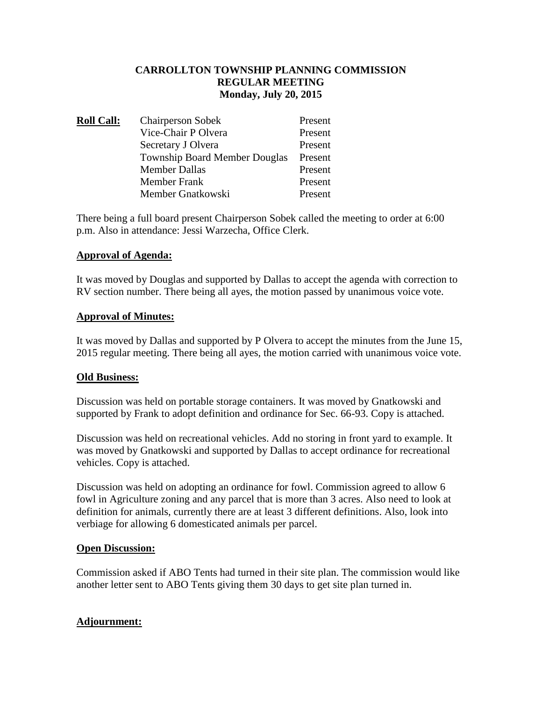## **CARROLLTON TOWNSHIP PLANNING COMMISSION REGULAR MEETING Monday, July 20, 2015**

| <b>Roll Call:</b> | <b>Chairperson Sobek</b>             | Present |
|-------------------|--------------------------------------|---------|
|                   | Vice-Chair P Olvera                  | Present |
|                   | Secretary J Olvera                   | Present |
|                   | <b>Township Board Member Douglas</b> | Present |
|                   | <b>Member Dallas</b>                 | Present |
|                   | <b>Member Frank</b>                  | Present |
|                   | Member Gnatkowski                    | Present |

There being a full board present Chairperson Sobek called the meeting to order at 6:00 p.m. Also in attendance: Jessi Warzecha, Office Clerk.

## **Approval of Agenda:**

It was moved by Douglas and supported by Dallas to accept the agenda with correction to RV section number. There being all ayes, the motion passed by unanimous voice vote.

#### **Approval of Minutes:**

It was moved by Dallas and supported by P Olvera to accept the minutes from the June 15, 2015 regular meeting. There being all ayes, the motion carried with unanimous voice vote.

# **Old Business:**

Discussion was held on portable storage containers. It was moved by Gnatkowski and supported by Frank to adopt definition and ordinance for Sec. 66-93. Copy is attached.

Discussion was held on recreational vehicles. Add no storing in front yard to example. It was moved by Gnatkowski and supported by Dallas to accept ordinance for recreational vehicles. Copy is attached.

Discussion was held on adopting an ordinance for fowl. Commission agreed to allow 6 fowl in Agriculture zoning and any parcel that is more than 3 acres. Also need to look at definition for animals, currently there are at least 3 different definitions. Also, look into verbiage for allowing 6 domesticated animals per parcel.

#### **Open Discussion:**

Commission asked if ABO Tents had turned in their site plan. The commission would like another letter sent to ABO Tents giving them 30 days to get site plan turned in.

# **Adjournment:**